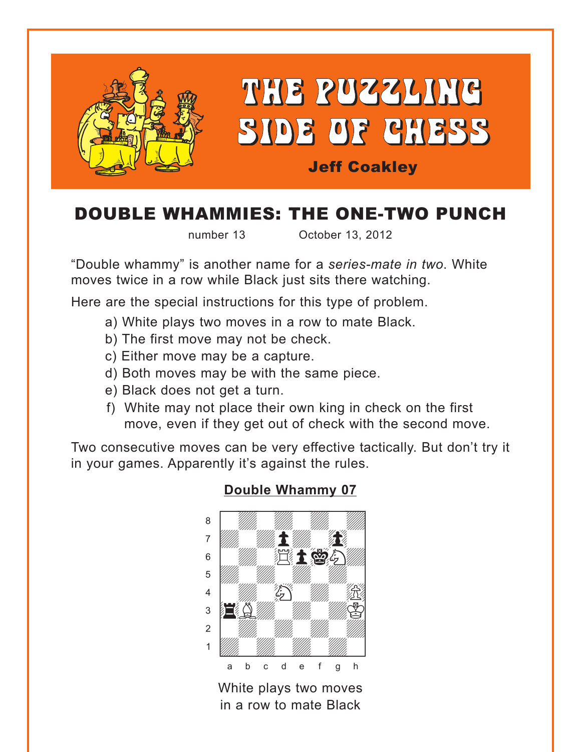<span id="page-0-0"></span>

# DOUBLE WHAMMIES: THE ONE-TWO PUNCH

number 13 October 13, 2012

"Double whammy" is another name for a *series-mate in two*. White moves twice in a row while Black just sits there watching.

Here are the special instructions for this type of problem.

- a) White plays two moves in a row to mate Black.
- b) The first move may not be check.
- c) Either move may be a capture.
- d) Both moves may be with the same piece.
- e) Black does not get a turn.
- f) White may not place their own king in check on the first move, even if they get out of check with the second move.

Two consecutive moves can be very effective tactically. But don't try it in your games. Apparently it's against the rules.



### **[Double Whammy 07](#page-3-0)**

White plays two moves in a row to mate Black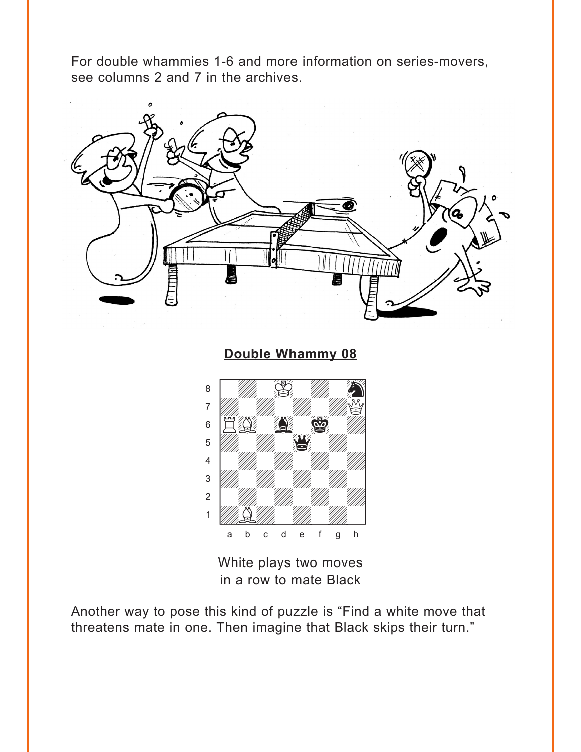<span id="page-1-0"></span>For double whammies 1-6 and more information on series-movers, see columns 2 and 7 in the archives.



**[Double Whammy 08](#page-3-0)**



White plays two moves in a row to mate Black

Another way to pose this kind of puzzle is "Find a white move that threatens mate in one. Then imagine that Black skips their turn."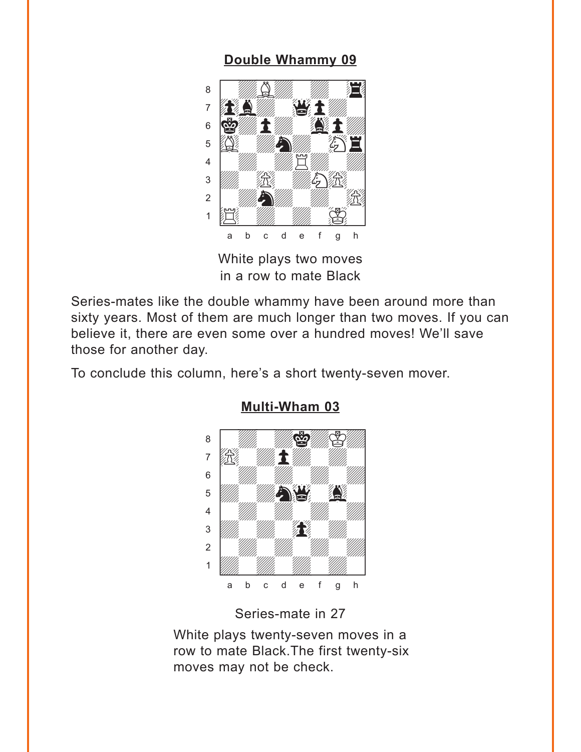## Double Whammy 09

<span id="page-2-0"></span>

White plays two moves in a row to mate Black

Series-mates like the double whammy have been around more than sixty years. Most of them are much longer than two moves. If you can believe it, there are even some over a hundred moves! We'll save those for another day.

To conclude this column, here's a short twenty-seven mover.



**Multi-Wham 03** 

### Series-mate in 27

White plays twenty-seven moves in a row to mate Black. The first twenty-six moves may not be check.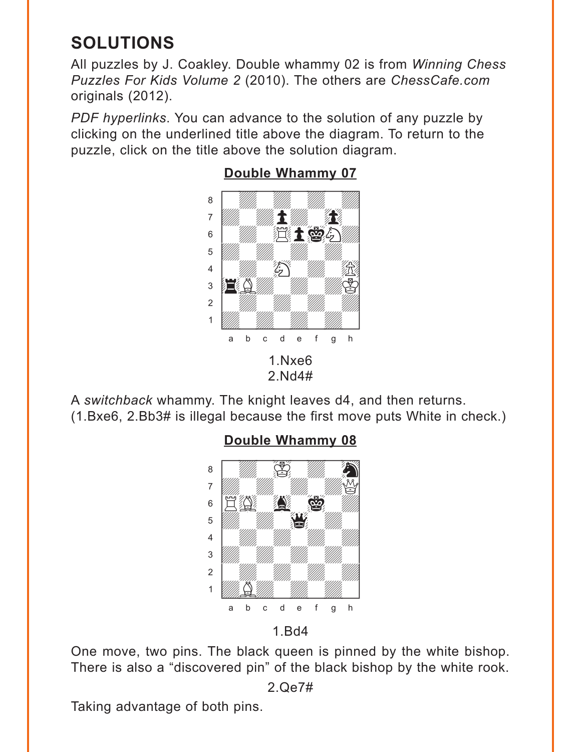# <span id="page-3-0"></span>**SOLUTIONS**

All puzzles by J. Coakley. Double whammy 02 is from *Winning Chess Puzzles For Kids Volume 2* (2010). The others are *ChessCafe.com* originals (2012).

*PDF hyperlinks*. You can advance to the solution of any puzzle by clicking on the underlined title above the diagram. To return to the puzzle, click on the title above the solution diagram.



# **[Double Whammy 07](#page-0-0)**

A *switchback* whammy. The knight leaves d4, and then returns. (1.Bxe6, 2.Bb3# is illegal because the first move puts White in check.)

#### **[Double Whammy 08](#page-1-0)**  $\frac{1}{\sqrt{2}}$  which is interesting to  $\frac{1}{\sqrt{2}}$



1.Bd4

One move, two pins. The black queen is pinned by the white bishop. There is also a "discovered pin" of the black bishop by the white rook.

Taking advantage of both pins.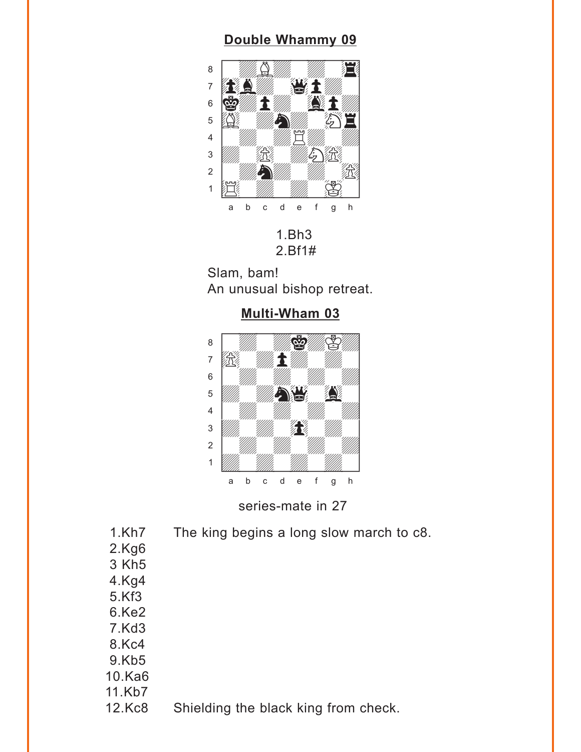# **[Double Whammy 09](#page-2-0)**

<span id="page-4-0"></span>

1.Bh3 2.Bf1#

Slam, bam! An unusual bishop retreat.





series-mate in 27

1.Kh7 The king begins a long slow march to c8. 2.Kg6 3 Kh5 4.Kg4 5.Kf3 6.Ke2 7.Kd3 8.Kc4 9.Kb5 10.Ka6 11.Kb7 12.Kc8 Shielding the black king from check.